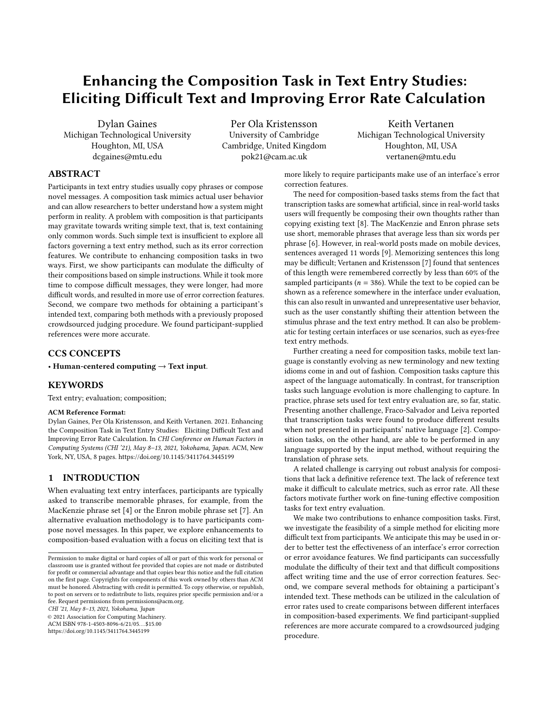# Enhancing the Composition Task in Text Entry Studies: Eliciting Dificult Text and Improving Error Rate Calculation

Michigan Technological University University of Cambridge Michigan Technological University

Dylan Gaines Per Ola Kristensson Keith Vertanen Houghton, MI, USA Cambridge, United Kingdom Houghton, MI, USA dcgaines@mtu.edu pok21@cam.ac.uk vertanen@mtu.edu

# ABSTRACT

Participants in text entry studies usually copy phrases or compose novel messages. A composition task mimics actual user behavior and can allow researchers to better understand how a system might perform in reality. A problem with composition is that participants may gravitate towards writing simple text, that is, text containing only common words. Such simple text is insufficient to explore all factors governing a text entry method, such as its error correction features. We contribute to enhancing composition tasks in two ways. First, we show participants can modulate the difficulty of their compositions based on simple instructions. While it took more time to compose difficult messages, they were longer, had more difficult words, and resulted in more use of error correction features. Second, we compare two methods for obtaining a participant's intended text, comparing both methods with a previously proposed crowdsourced judging procedure. We found participant-supplied references were more accurate.

# CCS CONCEPTS

• Human-centered computing  $\rightarrow$  Text input.

# **KEYWORDS**

Text entry; evaluation; composition;

#### ACM Reference Format:

Dylan Gaines, Per Ola Kristensson, and Keith Vertanen. 2021. Enhancing the Composition Task in Text Entry Studies: Eliciting Difficult Text and Improving Error Rate Calculation. In CHI Conference on Human Factors in Computing Systems (CHI '21), May 8–13, 2021, Yokohama, Japan. ACM, New York, NY, USA, [8](#page-7-0) pages. <https://doi.org/10.1145/3411764.3445199>

# 1 INTRODUCTION

When evaluating text entry interfaces, participants are typically asked to transcribe memorable phrases, for example, from the MacKenzie phrase set [\[4\]](#page-7-1) or the Enron mobile phrase set [\[7\]](#page-7-2). An alternative evaluation methodology is to have participants compose novel messages. In this paper, we explore enhancements to composition-based evaluation with a focus on eliciting text that is

CHI '21, May 8–13, 2021, Yokohama, Japan

© 2021 Association for Computing Machinery.

ACM ISBN 978-1-4503-8096-6/21/05. . . \$15.00

<https://doi.org/10.1145/3411764.3445199>

more likely to require participants make use of an interface's error correction features.

The need for composition-based tasks stems from the fact that transcription tasks are somewhat artifcial, since in real-world tasks users will frequently be composing their own thoughts rather than copying existing text [\[8\]](#page-7-3). The MacKenzie and Enron phrase sets use short, memorable phrases that average less than six words per phrase [\[6\]](#page-7-4). However, in real-world posts made on mobile devices, sentences averaged 11 words [\[9\]](#page-7-5). Memorizing sentences this long may be difficult; Vertanen and Kristensson [\[7\]](#page-7-2) found that sentences of this length were remembered correctly by less than 60% of the sampled participants ( $n = 386$ ). While the text to be copied can be shown as a reference somewhere in the interface under evaluation, this can also result in unwanted and unrepresentative user behavior, such as the user constantly shifting their attention between the stimulus phrase and the text entry method. It can also be problematic for testing certain interfaces or use scenarios, such as eyes-free text entry methods.

Further creating a need for composition tasks, mobile text language is constantly evolving as new terminology and new texting idioms come in and out of fashion. Composition tasks capture this aspect of the language automatically. In contrast, for transcription tasks such language evolution is more challenging to capture. In practice, phrase sets used for text entry evaluation are, so far, static. Presenting another challenge, Fraco-Salvador and Leiva reported that transcription tasks were found to produce diferent results when not presented in participants' native language [\[2\]](#page-7-6). Composition tasks, on the other hand, are able to be performed in any language supported by the input method, without requiring the translation of phrase sets.

A related challenge is carrying out robust analysis for compositions that lack a defnitive reference text. The lack of reference text make it difficult to calculate metrics, such as error rate. All these factors motivate further work on fne-tuning efective composition tasks for text entry evaluation.

We make two contributions to enhance composition tasks. First, we investigate the feasibility of a simple method for eliciting more difficult text from participants. We anticipate this may be used in order to better test the efectiveness of an interface's error correction or error avoidance features. We fnd participants can successfully modulate the difficulty of their text and that difficult compositions afect writing time and the use of error correction features. Second, we compare several methods for obtaining a participant's intended text. These methods can be utilized in the calculation of error rates used to create comparisons between diferent interfaces in composition-based experiments. We fnd participant-supplied references are more accurate compared to a crowdsourced judging procedure.

Permission to make digital or hard copies of all or part of this work for personal or classroom use is granted without fee provided that copies are not made or distributed for proft or commercial advantage and that copies bear this notice and the full citation on the frst page. Copyrights for components of this work owned by others than ACM must be honored. Abstracting with credit is permitted. To copy otherwise, or republish, to post on servers or to redistribute to lists, requires prior specifc permission and/or a fee. Request permissions from [permissions@acm.org](mailto:permissions@acm.org).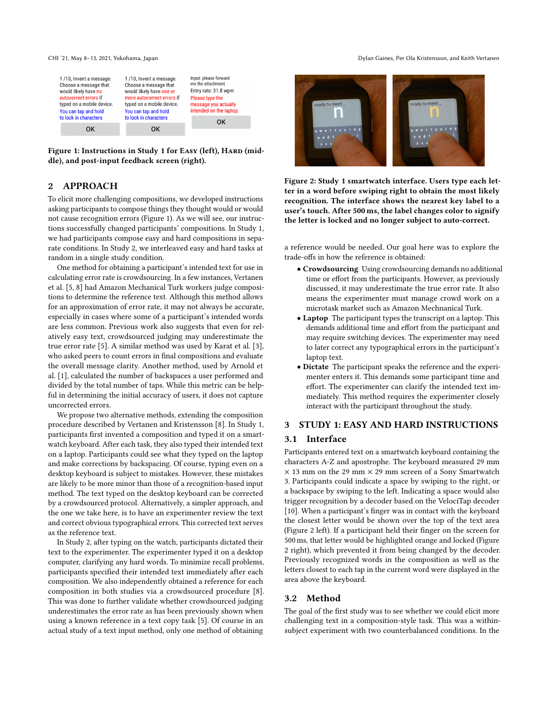Figure 1: Instructions in Study 1 for Easy (left), HARD (middle), and post-input feedback screen (right).

# 2 APPROACH

To elicit more challenging compositions, we developed instructions asking participants to compose things they thought would or would not cause recognition errors (Figure [1\)](#page-1-0). As we will see, our instructions successfully changed participants' compositions. In Study 1, we had participants compose easy and hard compositions in separate conditions. In Study 2, we interleaved easy and hard tasks at random in a single study condition.

One method for obtaining a participant's intended text for use in calculating error rate is crowdsourcing. In a few instances, Vertanen et al. [\[5,](#page-7-7) [8\]](#page-7-3) had Amazon Mechanical Turk workers judge compositions to determine the reference text. Although this method allows for an approximation of error rate, it may not always be accurate, especially in cases where some of a participant's intended words are less common. Previous work also suggests that even for relatively easy text, crowdsourced judging may underestimate the true error rate [\[5\]](#page-7-7). A similar method was used by Karat et al. [\[3\]](#page-7-8), who asked peers to count errors in fnal compositions and evaluate the overall message clarity. Another method, used by Arnold et al. [\[1\]](#page-7-9), calculated the number of backspaces a user performed and divided by the total number of taps. While this metric can be helpful in determining the initial accuracy of users, it does not capture uncorrected errors.

We propose two alternative methods, extending the composition procedure described by Vertanen and Kristensson [\[8\]](#page-7-3). In Study 1, participants frst invented a composition and typed it on a smartwatch keyboard. After each task, they also typed their intended text on a laptop. Participants could see what they typed on the laptop and make corrections by backspacing. Of course, typing even on a desktop keyboard is subject to mistakes. However, these mistakes are likely to be more minor than those of a recognition-based input method. The text typed on the desktop keyboard can be corrected by a crowdsourced protocol. Alternatively, a simpler approach, and the one we take here, is to have an experimenter review the text and correct obvious typographical errors. This corrected text serves as the reference text.

In Study 2, after typing on the watch, participants dictated their text to the experimenter. The experimenter typed it on a desktop computer, clarifying any hard words. To minimize recall problems, participants specifed their intended text immediately after each composition. We also independently obtained a reference for each composition in both studies via a crowdsourced procedure [\[8\]](#page-7-3). This was done to further validate whether crowdsourced judging underestimates the error rate as has been previously shown when using a known reference in a text copy task [\[5\]](#page-7-7). Of course in an actual study of a text input method, only one method of obtaining

<span id="page-1-0"></span>CHI '21, May 8–13, 2021, Yokohama, Japan Dylan Gaines, Per Ola Kristensson, and Keith Vertanen

<span id="page-1-1"></span>

Figure 2: Study 1 smartwatch interface. Users type each letter in a word before swiping right to obtain the most likely recognition. The interface shows the nearest key label to a user's touch. After 500 ms, the label changes color to signify the letter is locked and no longer subject to auto-correct.

a reference would be needed. Our goal here was to explore the trade-ofs in how the reference is obtained:

- Crowdsourcing Using crowdsourcing demands no additional time or effort from the participants. However, as previously discussed, it may underestimate the true error rate. It also means the experimenter must manage crowd work on a microtask market such as Amazon Mechnanical Turk.
- Laptop The participant types the transcript on a laptop. This demands additional time and efort from the participant and may require switching devices. The experimenter may need to later correct any typographical errors in the participant's laptop text.
- Dictate The participant speaks the reference and the experimenter enters it. This demands some participant time and efort. The experimenter can clarify the intended text immediately. This method requires the experimenter closely interact with the participant throughout the study.

## 3 STUDY 1: EASY AND HARD INSTRUCTIONS

## 3.1 Interface

Participants entered text on a smartwatch keyboard containing the characters A-Z and apostrophe. The keyboard measured 29 mm  $\times$  13 mm on the 29 mm  $\times$  29 mm screen of a Sony Smartwatch 3. Participants could indicate a space by swiping to the right, or a backspace by swiping to the left. Indicating a space would also trigger recognition by a decoder based on the VelociTap decoder [\[10\]](#page-7-10). When a participant's finger was in contact with the keyboard the closest letter would be shown over the top of the text area (Figure [2](#page-1-1) left). If a participant held their fnger on the screen for 500 ms, that letter would be highlighted orange and locked (Figure [2](#page-1-1) right), which prevented it from being changed by the decoder. Previously recognized words in the composition as well as the letters closest to each tap in the current word were displayed in the area above the keyboard.

## 3.2 Method

The goal of the frst study was to see whether we could elicit more challenging text in a composition-style task. This was a withinsubject experiment with two counterbalanced conditions. In the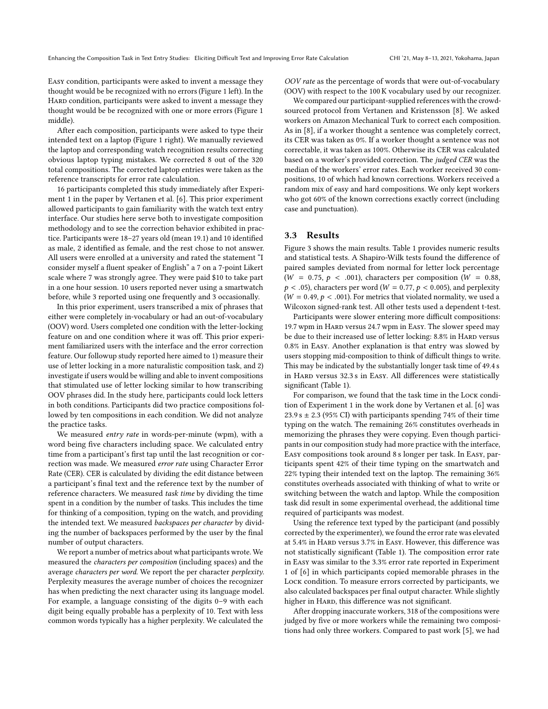Easy condition, participants were asked to invent a message they thought would be be recognized with no errors (Figure [1](#page-1-0) left). In the HARD condition, participants were asked to invent a message they thought would be be recognized with one or more errors (Figure [1](#page-1-0) middle).

After each composition, participants were asked to type their intended text on a laptop (Figure [1](#page-1-0) right). We manually reviewed the laptop and corresponding watch recognition results correcting obvious laptop typing mistakes. We corrected 8 out of the 320 total compositions. The corrected laptop entries were taken as the reference transcripts for error rate calculation.

16 participants completed this study immediately after Experiment 1 in the paper by Vertanen et al. [\[6\]](#page-7-4). This prior experiment allowed participants to gain familiarity with the watch text entry interface. Our studies here serve both to investigate composition methodology and to see the correction behavior exhibited in practice. Participants were 18–27 years old (mean 19.1) and 10 identifed as male, 2 identifed as female, and the rest chose to not answer. All users were enrolled at a university and rated the statement "I consider myself a fuent speaker of English" a 7 on a 7-point Likert scale where 7 was strongly agree. They were paid \$10 to take part in a one hour session. 10 users reported never using a smartwatch before, while 3 reported using one frequently and 3 occasionally.

In this prior experiment, users transcribed a mix of phrases that either were completely in-vocabulary or had an out-of-vocabulary (OOV) word. Users completed one condition with the letter-locking feature on and one condition where it was of. This prior experiment familiarized users with the interface and the error correction feature. Our followup study reported here aimed to 1) measure their use of letter locking in a more naturalistic composition task, and 2) investigate if users would be willing and able to invent compositions that stimulated use of letter locking similar to how transcribing OOV phrases did. In the study here, participants could lock letters in both conditions. Participants did two practice compositions followed by ten compositions in each condition. We did not analyze the practice tasks.

We measured entry rate in words-per-minute (wpm), with a word being fve characters including space. We calculated entry time from a participant's frst tap until the last recognition or correction was made. We measured error rate using Character Error Rate (CER). CER is calculated by dividing the edit distance between a participant's fnal text and the reference text by the number of reference characters. We measured task time by dividing the time spent in a condition by the number of tasks. This includes the time for thinking of a composition, typing on the watch, and providing the intended text. We measured backspaces per character by dividing the number of backspaces performed by the user by the fnal number of output characters.

We report a number of metrics about what participants wrote. We measured the characters per composition (including spaces) and the average characters per word. We report the per character perplexity. Perplexity measures the average number of choices the recognizer has when predicting the next character using its language model. For example, a language consisting of the digits 0–9 with each digit being equally probable has a perplexity of 10. Text with less common words typically has a higher perplexity. We calculated the

OOV rate as the percentage of words that were out-of-vocabulary (OOV) with respect to the 100 K vocabulary used by our recognizer.

We compared our participant-supplied references with the crowdsourced protocol from Vertanen and Kristensson [\[8\]](#page-7-3). We asked workers on Amazon Mechanical Turk to correct each composition. As in [\[8\]](#page-7-3), if a worker thought a sentence was completely correct, its CER was taken as 0%. If a worker thought a sentence was not correctable, it was taken as 100%. Otherwise its CER was calculated based on a worker's provided correction. The judged CER was the median of the workers' error rates. Each worker received 30 compositions, 10 of which had known corrections. Workers received a random mix of easy and hard compositions. We only kept workers who got 60% of the known corrections exactly correct (including case and punctuation).

#### 3.3 Results

Figure [3](#page-3-0) shows the main results. Table [1](#page-3-1) provides numeric results and statistical tests. A Shapiro-Wilk tests found the diference of paired samples deviated from normal for letter lock percentage ( $W = 0.75$ ,  $p < .001$ ), characters per composition ( $W = 0.88$ ,  $p < .05$ ), characters per word (W = 0.77,  $p < 0.005$ ), and perplexity  $(W = 0.49, p < .001)$ . For metrics that violated normality, we used a Wilcoxon signed-rank test. All other tests used a dependent t-test.

Participants were slower entering more difficult compositions: 19.7 wpm in Hard versus 24.7 wpm in Easy. The slower speed may be due to their increased use of letter locking: 8.8% in HARD versus 0.8% in Easy. Another explanation is that entry was slowed by users stopping mid-composition to think of difficult things to write. This may be indicated by the substantially longer task time of 49.4 s in HARD versus 32.3 s in EASY. All differences were statistically signifcant (Table [1\)](#page-3-1).

For comparison, we found that the task time in the LOCK condition of Experiment 1 in the work done by Vertanen et al. [\[6\]](#page-7-4) was  $23.9 s \pm 2.3$  (95% CI) with participants spending 74% of their time typing on the watch. The remaining 26% constitutes overheads in memorizing the phrases they were copying. Even though participants in our composition study had more practice with the interface, Easy compositions took around 8 s longer per task. In Easy, participants spent 42% of their time typing on the smartwatch and 22% typing their intended text on the laptop. The remaining 36% constitutes overheads associated with thinking of what to write or switching between the watch and laptop. While the composition task did result in some experimental overhead, the additional time required of participants was modest.

Using the reference text typed by the participant (and possibly corrected by the experimenter), we found the error rate was elevated at 5.4% in Hard versus 3.7% in Easy. However, this diference was not statistically signifcant (Table [1\)](#page-3-1). The composition error rate in Easy was similar to the 3.3% error rate reported in Experiment 1 of [\[6\]](#page-7-4) in which participants copied memorable phrases in the Lock condition. To measure errors corrected by participants, we also calculated backspaces per fnal output character. While slightly higher in HARD, this difference was not significant.

After dropping inaccurate workers, 318 of the compositions were judged by fve or more workers while the remaining two compositions had only three workers. Compared to past work [\[5\]](#page-7-7), we had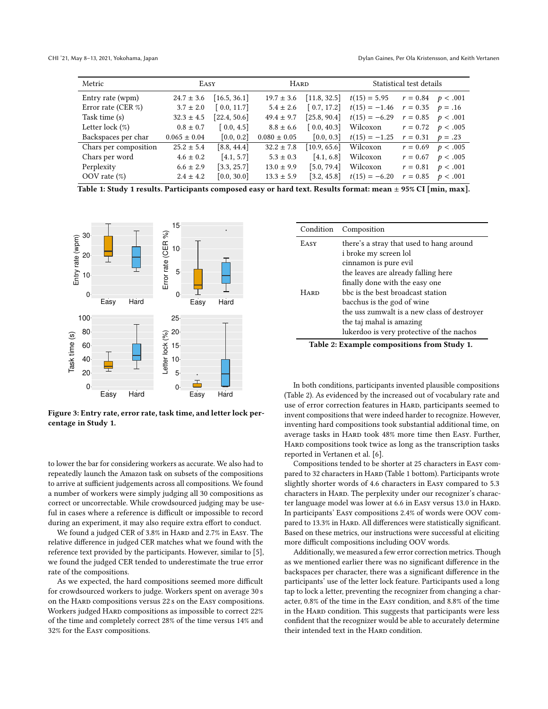<span id="page-3-1"></span>

| Metric                                                                                                       | EASY             |              | <b>HARD</b>      |              | Statistical test details |                      |                       |
|--------------------------------------------------------------------------------------------------------------|------------------|--------------|------------------|--------------|--------------------------|----------------------|-----------------------|
| Entry rate (wpm)                                                                                             | $24.7 \pm 3.6$   | [16.5, 36.1] | $19.7 \pm 3.6$   | [11.8, 32.5] | $t(15) = 5.95$           |                      | $r = 0.84$ $p < .001$ |
| Error rate (CER $\%$ )                                                                                       | $3.7 \pm 2.0$    | [0.0, 11.7]  | $5.4 \pm 2.6$    | [0.7, 17.2]  | $t(15) = -1.46$          | $r = 0.35$ $p = .16$ |                       |
| Task time (s)                                                                                                | $32.3 \pm 4.5$   | [22.4, 50.6] | $49.4 \pm 9.7$   | [25.8, 90.4] | $t(15) = -6.29$          |                      | $r = 0.85$ $p < .001$ |
| Letter lock $(\%)$                                                                                           | $0.8 \pm 0.7$    | [0.0, 4.5]   | $8.8 \pm 6.6$    | [0.0, 40.3]  | Wilcoxon                 |                      | $r = 0.72$ $p < .005$ |
| Backspaces per char                                                                                          | $0.065 \pm 0.04$ | [0.0, 0.2]   | $0.080 \pm 0.05$ | [0.0, 0.3]   | $t(15) = -1.25$          | $r = 0.31$ $p = .23$ |                       |
| Chars per composition                                                                                        | $25.2 \pm 5.4$   | [8.8, 44.4]  | $32.2 \pm 7.8$   | [10.9, 65.6] | Wilcoxon                 |                      | $r = 0.69$ $p < .005$ |
| Chars per word                                                                                               | $4.6 \pm 0.2$    | [4.1, 5.7]   | $5.3 \pm 0.3$    | [4.1, 6.8]   | Wilcoxon                 |                      | $r = 0.67$ $p < .005$ |
| Perplexity                                                                                                   | $6.6 \pm 2.9$    | [3.3, 25.7]  | $13.0 \pm 9.9$   | [5.0, 79.4]  | Wilcoxon                 |                      | $r = 0.81$ $p < .001$ |
| OOV rate $(\%)$                                                                                              | $2.4 \pm 4.2$    | [0.0, 30.0]  | $13.3 \pm 5.9$   | [3.2, 45.8]  | $t(15) = -6.20$          |                      | $r = 0.85$ $p < .001$ |
| Table 1: Study 1 results. Participants composed easy or hard text. Results format: mean ± 95% CI [min, max]. |                  |              |                  |              |                          |                      |                       |

<span id="page-3-0"></span>

Figure 3: Entry rate, error rate, task time, and letter lock percentage in Study 1.

to lower the bar for considering workers as accurate. We also had to repeatedly launch the Amazon task on subsets of the compositions to arrive at sufficient judgements across all compositions. We found a number of workers were simply judging all 30 compositions as correct or uncorrectable. While crowdsourced judging may be useful in cases where a reference is difficult or impossible to record during an experiment, it may also require extra effort to conduct.

We found a judged CER of 3.8% in HARD and 2.7% in EASY. The relative diference in judged CER matches what we found with the reference text provided by the participants. However, similar to [\[5\]](#page-7-7), we found the judged CER tended to underestimate the true error rate of the compositions.

As we expected, the hard compositions seemed more difficult for crowdsourced workers to judge. Workers spent on average 30 s on the HARD compositions versus 22 s on the EASY compositions. Workers judged HARD compositions as impossible to correct 22% of the time and completely correct 28% of the time versus 14% and 32% for the Easy compositions.

<span id="page-3-2"></span>

| Condition   | Composition                                 |  |  |  |  |  |
|-------------|---------------------------------------------|--|--|--|--|--|
| EASY        | there's a stray that used to hang around    |  |  |  |  |  |
|             | i broke my screen lol                       |  |  |  |  |  |
|             | cinnamon is pure evil                       |  |  |  |  |  |
|             | the leaves are already falling here         |  |  |  |  |  |
|             | finally done with the easy one              |  |  |  |  |  |
| <b>HARD</b> | bbc is the best broadcast station           |  |  |  |  |  |
|             | bacchus is the god of wine                  |  |  |  |  |  |
|             | the uss zumwalt is a new class of destroyer |  |  |  |  |  |
|             | the taj mahal is amazing                    |  |  |  |  |  |
|             | lukerdoo is very protective of the nachos   |  |  |  |  |  |
|             | Table 2: Example compositions from Study 1. |  |  |  |  |  |

In both conditions, participants invented plausible compositions (Table [2\)](#page-3-2). As evidenced by the increased out of vocabulary rate and use of error correction features in HARD, participants seemed to invent compositions that were indeed harder to recognize. However, inventing hard compositions took substantial additional time, on average tasks in HARD took 48% more time then EASY. Further, HARD compositions took twice as long as the transcription tasks reported in Vertanen et al. [\[6\]](#page-7-4).

Compositions tended to be shorter at 25 characters in Easy com-pared to 32 characters in HARD (Table [1](#page-3-1) bottom). Participants wrote slightly shorter words of 4.6 characters in Easy compared to 5.3 characters in HARD. The perplexity under our recognizer's character language model was lower at 6.6 in EASY versus 13.0 in HARD. In participants' Easy compositions 2.4% of words were OOV compared to 13.3% in HARD. All differences were statistically significant. Based on these metrics, our instructions were successful at eliciting more difficult compositions including OOV words.

Additionally, we measured a few error correction metrics. Though as we mentioned earlier there was no signifcant diference in the backspaces per character, there was a signifcant diference in the participants' use of the letter lock feature. Participants used a long tap to lock a letter, preventing the recognizer from changing a character, 0.8% of the time in the Easy condition, and 8.8% of the time in the HARD condition. This suggests that participants were less confdent that the recognizer would be able to accurately determine their intended text in the HARD condition.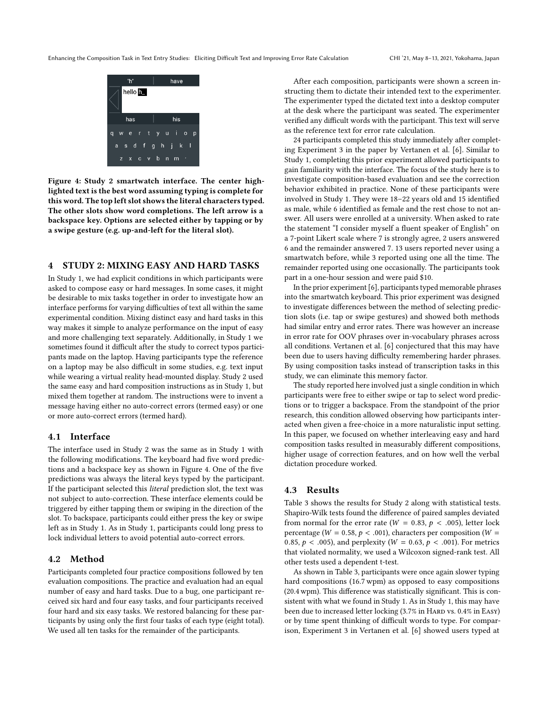<span id="page-4-0"></span>Enhancing the Composition Task in Text Entry Studies: Eliciting Dificult Text and Improving Error Rate Calculation CHI '21, May 8–13, 2021, Yokohama, Japan



Figure 4: Study 2 smartwatch interface. The center highlighted text is the best word assuming typing is complete for this word. The top left slot shows the literal characters typed. The other slots show word completions. The left arrow is a backspace key. Options are selected either by tapping or by a swipe gesture (e.g. up-and-left for the literal slot).

# 4 STUDY 2: MIXING EASY AND HARD TASKS

In Study 1, we had explicit conditions in which participants were asked to compose easy or hard messages. In some cases, it might be desirable to mix tasks together in order to investigate how an interface performs for varying difficulties of text all within the same experimental condition. Mixing distinct easy and hard tasks in this way makes it simple to analyze performance on the input of easy and more challenging text separately. Additionally, in Study 1 we sometimes found it difficult after the study to correct typos participants made on the laptop. Having participants type the reference on a laptop may be also difficult in some studies, e.g. text input while wearing a virtual reality head-mounted display. Study 2 used the same easy and hard composition instructions as in Study 1, but mixed them together at random. The instructions were to invent a message having either no auto-correct errors (termed easy) or one or more auto-correct errors (termed hard).

## 4.1 Interface

The interface used in Study 2 was the same as in Study 1 with the following modifications. The keyboard had five word predictions and a backspace key as shown in Figure [4.](#page-4-0) One of the fve predictions was always the literal keys typed by the participant. If the participant selected this literal prediction slot, the text was not subject to auto-correction. These interface elements could be triggered by either tapping them or swiping in the direction of the slot. To backspace, participants could either press the key or swipe left as in Study 1. As in Study 1, participants could long press to lock individual letters to avoid potential auto-correct errors.

## 4.2 Method

Participants completed four practice compositions followed by ten evaluation compositions. The practice and evaluation had an equal number of easy and hard tasks. Due to a bug, one participant received six hard and four easy tasks, and four participants received four hard and six easy tasks. We restored balancing for these participants by using only the frst four tasks of each type (eight total). We used all ten tasks for the remainder of the participants.

After each composition, participants were shown a screen instructing them to dictate their intended text to the experimenter. The experimenter typed the dictated text into a desktop computer at the desk where the participant was seated. The experimenter verified any difficult words with the participant. This text will serve as the reference text for error rate calculation.

24 participants completed this study immediately after completing Experiment 3 in the paper by Vertanen et al. [\[6\]](#page-7-4). Similar to Study 1, completing this prior experiment allowed participants to gain familiarity with the interface. The focus of the study here is to investigate composition-based evaluation and see the correction behavior exhibited in practice. None of these participants were involved in Study 1. They were 18–22 years old and 15 identifed as male, while 6 identifed as female and the rest chose to not answer. All users were enrolled at a university. When asked to rate the statement "I consider myself a fuent speaker of English" on a 7-point Likert scale where 7 is strongly agree, 2 users answered 6 and the remainder answered 7. 13 users reported never using a smartwatch before, while 3 reported using one all the time. The remainder reported using one occasionally. The participants took part in a one-hour session and were paid \$10.

In the prior experiment [\[6\]](#page-7-4), participants typed memorable phrases into the smartwatch keyboard. This prior experiment was designed to investigate diferences between the method of selecting prediction slots (i.e. tap or swipe gestures) and showed both methods had similar entry and error rates. There was however an increase in error rate for OOV phrases over in-vocabulary phrases across all conditions. Vertanen et al. [\[6\]](#page-7-4) conjectured that this may have been due to users having difficulty remembering harder phrases. By using composition tasks instead of transcription tasks in this study, we can eliminate this memory factor.

The study reported here involved just a single condition in which participants were free to either swipe or tap to select word predictions or to trigger a backspace. From the standpoint of the prior research, this condition allowed observing how participants interacted when given a free-choice in a more naturalistic input setting. In this paper, we focused on whether interleaving easy and hard composition tasks resulted in measurably diferent compositions, higher usage of correction features, and on how well the verbal dictation procedure worked.

## 4.3 Results

Table [3](#page-5-0) shows the results for Study 2 along with statistical tests. Shapiro-Wilk tests found the diference of paired samples deviated from normal for the error rate ( $W = 0.83$ ,  $p < .005$ ), letter lock percentage ( $W = 0.58$ ,  $p < .001$ ), characters per composition ( $W =$ 0.85,  $p < .005$ ), and perplexity ( $W = 0.63$ ,  $p < .001$ ). For metrics that violated normality, we used a Wilcoxon signed-rank test. All other tests used a dependent t-test.

As shown in Table [3,](#page-5-0) participants were once again slower typing hard compositions (16.7 wpm) as opposed to easy compositions (20.4 wpm). This diference was statistically signifcant. This is consistent with what we found in Study 1. As in Study 1, this may have been due to increased letter locking (3.7% in HARD vs. 0.4% in EASY) or by time spent thinking of difficult words to type. For comparison, Experiment 3 in Vertanen et al. [\[6\]](#page-7-4) showed users typed at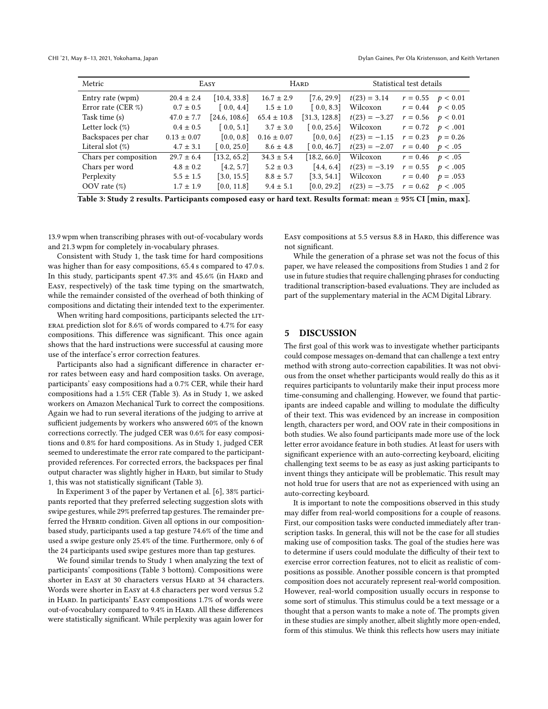<span id="page-5-0"></span>

| Metric                                                                                                       | EASY            |                           |                 | <b>HARD</b>              | Statistical test details |                       |                       |
|--------------------------------------------------------------------------------------------------------------|-----------------|---------------------------|-----------------|--------------------------|--------------------------|-----------------------|-----------------------|
| Entry rate (wpm)                                                                                             | $20.4 \pm 2.4$  | $\left[10.4, 33.8\right]$ | $16.7 \pm 2.9$  | [7.6, 29.9]              | $t(23) = 3.14$           | $r = 0.55$ $p < 0.01$ |                       |
| Error rate (CER $\%$ )                                                                                       | $0.7 \pm 0.5$   | [0.0, 4.4]                | $1.5 \pm 1.0$   | [0.0, 8.3]               | Wilcoxon                 |                       | $r = 0.44$ $p < 0.05$ |
| Task time (s)                                                                                                | $47.0 \pm 7.7$  | [24.6, 108.6]             | $65.4 \pm 10.8$ | [31.3, 128.8]            | $t(23) = -3.27$          |                       | $r = 0.56$ $p < 0.01$ |
| Letter lock $(\%)$                                                                                           | $0.4 \pm 0.5$   | [0.0, 5.1]                | $3.7 \pm 3.0$   | [0.0, 25.6]              | Wilcoxon                 |                       | $r = 0.72$ $p < .001$ |
| Backspaces per char                                                                                          | $0.13 \pm 0.07$ | [0.0, 0.8]                | $0.16 \pm 0.07$ | [0.0, 0.6]               | $t(23) = -1.15$          | $r = 0.23$ $p = 0.26$ |                       |
| Literal slot $(\%)$                                                                                          | $4.7 \pm 3.1$   | [0.0, 25.0]               | $8.6 \pm 4.8$   | [0.0, 46.7]              | $t(23) = -2.07$          | $r = 0.40$ $p < .05$  |                       |
| Chars per composition                                                                                        | $29.7 \pm 6.4$  | [13.2, 65.2]              | $34.3 \pm 5.4$  | [18.2, 66.0]             | Wilcoxon                 | $r = 0.46$ $p < .05$  |                       |
| Chars per word                                                                                               | $4.8 \pm 0.2$   | [4.2, 5.7]                | $5.2 \pm 0.3$   | [4.4, 6.4]               | $t(23) = -3.19$          | $r = 0.55$ $p < .005$ |                       |
| Perplexity                                                                                                   | $5.5 \pm 1.5$   | [3.0, 15.5]               | $8.8 \pm 5.7$   | $\left[3.3, 54.1\right]$ | Wilcoxon                 | $r = 0.40$            | $p = .053$            |
| OOV rate $(\%)$                                                                                              | $1.7 \pm 1.9$   | [0.0, 11.8]               | $9.4 \pm 5.1$   | [0.0, 29.2]              | $t(23) = -3.75$          | $r = 0.62$ $p < .005$ |                       |
| Table 3: Study 2 results. Participants composed easy or hard text. Results format: mean ± 95% CI [min, max]. |                 |                           |                 |                          |                          |                       |                       |

13.9 wpm when transcribing phrases with out-of-vocabulary words and 21.3 wpm for completely in-vocabulary phrases.

Consistent with Study 1, the task time for hard compositions was higher than for easy compositions, 65.4 s compared to 47.0 s. In this study, participants spent 47.3% and 45.6% (in HARD and Easy, respectively) of the task time typing on the smartwatch, while the remainder consisted of the overhead of both thinking of compositions and dictating their intended text to the experimenter.

When writing hard compositions, participants selected the LITeral prediction slot for 8.6% of words compared to 4.7% for easy compositions. This diference was signifcant. This once again shows that the hard instructions were successful at causing more use of the interface's error correction features.

Participants also had a signifcant diference in character error rates between easy and hard composition tasks. On average, participants' easy compositions had a 0.7% CER, while their hard compositions had a 1.5% CER (Table [3\)](#page-5-0). As in Study 1, we asked workers on Amazon Mechanical Turk to correct the compositions. Again we had to run several iterations of the judging to arrive at sufficient judgements by workers who answered 60% of the known corrections correctly. The judged CER was 0.6% for easy compositions and 0.8% for hard compositions. As in Study 1, judged CER seemed to underestimate the error rate compared to the participantprovided references. For corrected errors, the backspaces per fnal output character was slightly higher in HARD, but similar to Study 1, this was not statistically signifcant (Table [3\)](#page-5-0).

In Experiment 3 of the paper by Vertanen et al. [\[6\]](#page-7-4), 38% participants reported that they preferred selecting suggestion slots with swipe gestures, while 29% preferred tap gestures. The remainder preferred the HYBRID condition. Given all options in our compositionbased study, participants used a tap gesture 74.6% of the time and used a swipe gesture only 25.4% of the time. Furthermore, only 6 of the 24 participants used swipe gestures more than tap gestures.

We found similar trends to Study 1 when analyzing the text of participants' compositions (Table [3](#page-5-0) bottom). Compositions were shorter in Easy at 30 characters versus HARD at 34 characters. Words were shorter in Easy at 4.8 characters per word versus 5.2 in Hard. In participants' Easy compositions 1.7% of words were out-of-vocabulary compared to 9.4% in HARD. All these differences were statistically signifcant. While perplexity was again lower for

EASY compositions at 5.5 versus 8.8 in HARD, this difference was not signifcant.

While the generation of a phrase set was not the focus of this paper, we have released the compositions from Studies 1 and 2 for use in future studies that require challenging phrases for conducting traditional transcription-based evaluations. They are included as part of the supplementary material in the ACM Digital Library.

#### 5 DISCUSSION

The frst goal of this work was to investigate whether participants could compose messages on-demand that can challenge a text entry method with strong auto-correction capabilities. It was not obvious from the onset whether participants would really do this as it requires participants to voluntarily make their input process more time-consuming and challenging. However, we found that participants are indeed capable and willing to modulate the difficulty of their text. This was evidenced by an increase in composition length, characters per word, and OOV rate in their compositions in both studies. We also found participants made more use of the lock letter error avoidance feature in both studies. At least for users with signifcant experience with an auto-correcting keyboard, eliciting challenging text seems to be as easy as just asking participants to invent things they anticipate will be problematic. This result may not hold true for users that are not as experienced with using an auto-correcting keyboard.

It is important to note the compositions observed in this study may difer from real-world compositions for a couple of reasons. First, our composition tasks were conducted immediately after transcription tasks. In general, this will not be the case for all studies making use of composition tasks. The goal of the studies here was to determine if users could modulate the difficulty of their text to exercise error correction features, not to elicit as realistic of compositions as possible. Another possible concern is that prompted composition does not accurately represent real-world composition. However, real-world composition usually occurs in response to some sort of stimulus. This stimulus could be a text message or a thought that a person wants to make a note of. The prompts given in these studies are simply another, albeit slightly more open-ended, form of this stimulus. We think this refects how users may initiate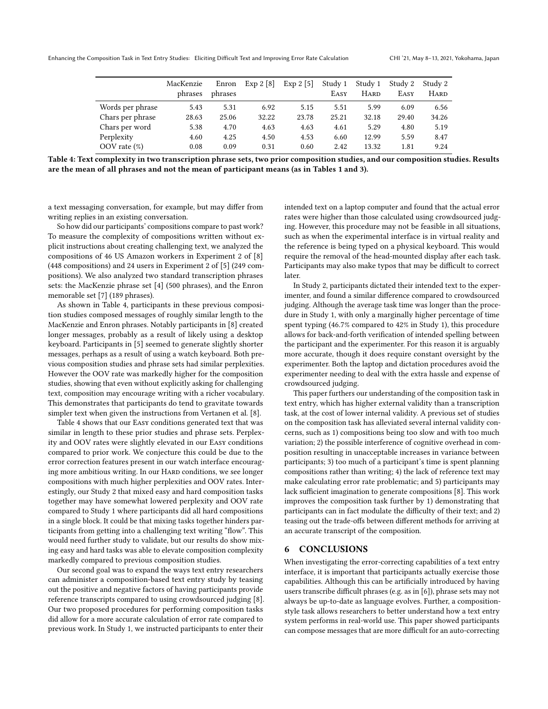<span id="page-6-0"></span>

|                  | MacKenzie | Enron   | Exp 2 [8] | Exp $2\left[5\right]$ | Study 1 | Study 1     | Study 2 | Study 2     |
|------------------|-----------|---------|-----------|-----------------------|---------|-------------|---------|-------------|
|                  | phrases   | phrases |           |                       | EASY    | <b>HARD</b> | EASY    | <b>HARD</b> |
| Words per phrase | 5.43      | 5.31    | 6.92      | 5.15                  | 5.51    | 5.99        | 6.09    | 6.56        |
| Chars per phrase | 28.63     | 25.06   | 32.22     | 23.78                 | 25.21   | 32.18       | 29.40   | 34.26       |
| Chars per word   | 5.38      | 4.70    | 4.63      | 4.63                  | 4.61    | 5.29        | 4.80    | 5.19        |
| Perplexity       | 4.60      | 4.25    | 4.50      | 4.53                  | 6.60    | 12.99       | 5.59    | 8.47        |
| OOV rate $(\%)$  | 0.08      | 0.09    | 0.31      | 0.60                  | 2.42    | 13.32       | 1.81    | 9.24        |

Table 4: Text complexity in two transcription phrase sets, two prior composition studies, and our composition studies. Results are the mean of all phrases and not the mean of participant means (as in Tables [1](#page-3-1) and [3\)](#page-5-0).

a text messaging conversation, for example, but may difer from writing replies in an existing conversation.

So how did our participants' compositions compare to past work? To measure the complexity of compositions written without explicit instructions about creating challenging text, we analyzed the compositions of 46 US Amazon workers in Experiment 2 of [\[8\]](#page-7-3) (448 compositions) and 24 users in Experiment 2 of [\[5\]](#page-7-7) (249 compositions). We also analyzed two standard transcription phrases sets: the MacKenzie phrase set [\[4\]](#page-7-1) (500 phrases), and the Enron memorable set [\[7\]](#page-7-2) (189 phrases).

As shown in Table [4,](#page-6-0) participants in these previous composition studies composed messages of roughly similar length to the MacKenzie and Enron phrases. Notably participants in [\[8\]](#page-7-3) created longer messages, probably as a result of likely using a desktop keyboard. Participants in [\[5\]](#page-7-7) seemed to generate slightly shorter messages, perhaps as a result of using a watch keyboard. Both previous composition studies and phrase sets had similar perplexities. However the OOV rate was markedly higher for the composition studies, showing that even without explicitly asking for challenging text, composition may encourage writing with a richer vocabulary. This demonstrates that participants do tend to gravitate towards simpler text when given the instructions from Vertanen et al. [\[8\]](#page-7-3).

Table [4](#page-6-0) shows that our Easy conditions generated text that was similar in length to these prior studies and phrase sets. Perplexity and OOV rates were slightly elevated in our Easy conditions compared to prior work. We conjecture this could be due to the error correction features present in our watch interface encouraging more ambitious writing. In our HARD conditions, we see longer compositions with much higher perplexities and OOV rates. Interestingly, our Study 2 that mixed easy and hard composition tasks together may have somewhat lowered perplexity and OOV rate compared to Study 1 where participants did all hard compositions in a single block. It could be that mixing tasks together hinders participants from getting into a challenging text writing "fow". This would need further study to validate, but our results do show mixing easy and hard tasks was able to elevate composition complexity markedly compared to previous composition studies.

Our second goal was to expand the ways text entry researchers can administer a composition-based text entry study by teasing out the positive and negative factors of having participants provide reference transcripts compared to using crowdsourced judging [\[8\]](#page-7-3). Our two proposed procedures for performing composition tasks did allow for a more accurate calculation of error rate compared to previous work. In Study 1, we instructed participants to enter their

intended text on a laptop computer and found that the actual error rates were higher than those calculated using crowdsourced judging. However, this procedure may not be feasible in all situations, such as when the experimental interface is in virtual reality and the reference is being typed on a physical keyboard. This would require the removal of the head-mounted display after each task. Participants may also make typos that may be difficult to correct later.

In Study 2, participants dictated their intended text to the experimenter, and found a similar diference compared to crowdsourced judging. Although the average task time was longer than the procedure in Study 1, with only a marginally higher percentage of time spent typing (46.7% compared to 42% in Study 1), this procedure allows for back-and-forth verifcation of intended spelling between the participant and the experimenter. For this reason it is arguably more accurate, though it does require constant oversight by the experimenter. Both the laptop and dictation procedures avoid the experimenter needing to deal with the extra hassle and expense of crowdsourced judging.

This paper furthers our understanding of the composition task in text entry, which has higher external validity than a transcription task, at the cost of lower internal validity. A previous set of studies on the composition task has alleviated several internal validity concerns, such as 1) compositions being too slow and with too much variation; 2) the possible interference of cognitive overhead in composition resulting in unacceptable increases in variance between participants; 3) too much of a participant's time is spent planning compositions rather than writing; 4) the lack of reference text may make calculating error rate problematic; and 5) participants may lack sufficient imagination to generate compositions  $[8]$ . This work improves the composition task further by 1) demonstrating that participants can in fact modulate the difficulty of their text; and 2) teasing out the trade-ofs between diferent methods for arriving at an accurate transcript of the composition.

## 6 CONCLUSIONS

When investigating the error-correcting capabilities of a text entry interface, it is important that participants actually exercise those capabilities. Although this can be artifcially introduced by having users transcribe difficult phrases (e.g. as in [\[6\]](#page-7-4)), phrase sets may not always be up-to-date as language evolves. Further, a compositionstyle task allows researchers to better understand how a text entry system performs in real-world use. This paper showed participants can compose messages that are more difficult for an auto-correcting